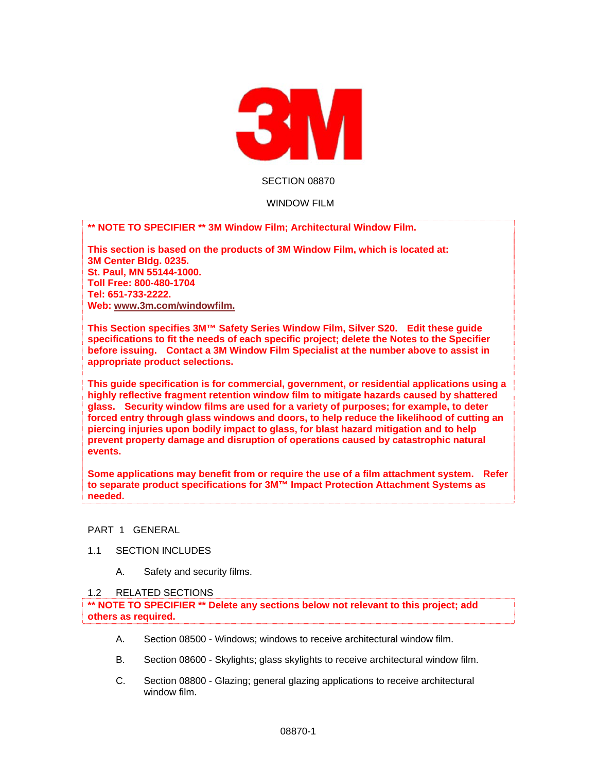

## SECTION 08870

## WINDOW FILM

**\*\* NOTE TO SPECIFIER \*\* 3M Window Film; Architectural Window Film.** 

**This section is based on the products of 3M Window Film, which is located at: 3M Center Bldg. 0235. St. Paul, MN 55144-1000. Toll Free: 800-480-1704 Tel: 651-733-2222. Web: www.3m.com/windowfilm.** 

**This Section specifies 3M™ Safety Series Window Film, Silver S20. Edit these guide specifications to fit the needs of each specific project; delete the Notes to the Specifier before issuing. Contact a 3M Window Film Specialist at the number above to assist in appropriate product selections.** 

**This guide specification is for commercial, government, or residential applications using a highly reflective fragment retention window film to mitigate hazards caused by shattered glass. Security window films are used for a variety of purposes; for example, to deter forced entry through glass windows and doors, to help reduce the likelihood of cutting an piercing injuries upon bodily impact to glass, for blast hazard mitigation and to help prevent property damage and disruption of operations caused by catastrophic natural events.** 

**Some applications may benefit from or require the use of a film attachment system. Refer to separate product specifications for 3M™ Impact Protection Attachment Systems as needed.** 

## PART 1 GENERAL

- 1.1 SECTION INCLUDES
	- A. Safety and security films.

### 1.2 RELATED SECTIONS

**\*\* NOTE TO SPECIFIER \*\* Delete any sections below not relevant to this project; add others as required.** 

- A. Section 08500 Windows; windows to receive architectural window film.
- B. Section 08600 Skylights; glass skylights to receive architectural window film.
- C. Section 08800 Glazing; general glazing applications to receive architectural window film.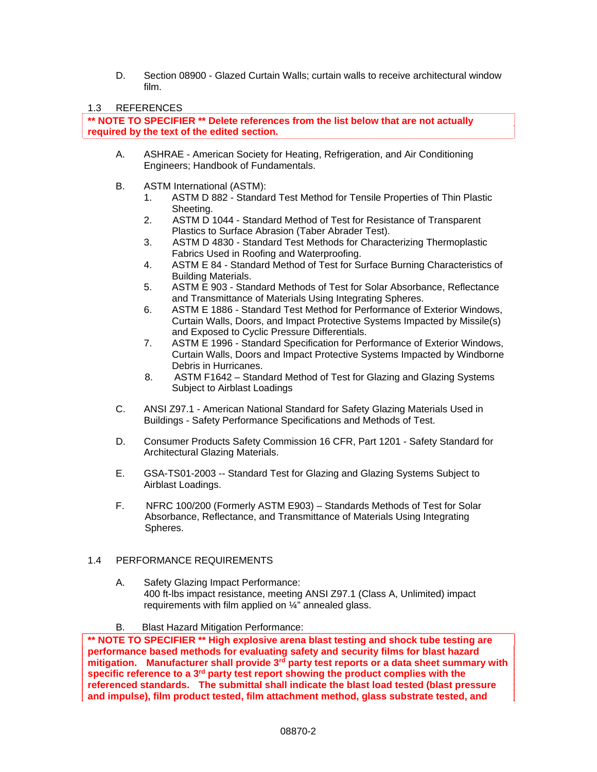D. Section 08900 - Glazed Curtain Walls; curtain walls to receive architectural window film.

# 1.3 REFERENCES

**\*\* NOTE TO SPECIFIER \*\* Delete references from the list below that are not actually required by the text of the edited section.** 

- A. ASHRAE American Society for Heating, Refrigeration, and Air Conditioning Engineers; Handbook of Fundamentals.
- B. ASTM International (ASTM):
	- 1. ASTM D 882 Standard Test Method for Tensile Properties of Thin Plastic Sheeting.
	- 2. ASTM D 1044 Standard Method of Test for Resistance of Transparent Plastics to Surface Abrasion (Taber Abrader Test).
	- 3. ASTM D 4830 Standard Test Methods for Characterizing Thermoplastic Fabrics Used in Roofing and Waterproofing.
	- 4. ASTM E 84 Standard Method of Test for Surface Burning Characteristics of Building Materials.
	- 5. ASTM E 903 Standard Methods of Test for Solar Absorbance, Reflectance and Transmittance of Materials Using Integrating Spheres.
	- 6. ASTM E 1886 Standard Test Method for Performance of Exterior Windows, Curtain Walls, Doors, and Impact Protective Systems Impacted by Missile(s) and Exposed to Cyclic Pressure Differentials.
	- 7. ASTM E 1996 Standard Specification for Performance of Exterior Windows, Curtain Walls, Doors and Impact Protective Systems Impacted by Windborne Debris in Hurricanes.
	- 8. ASTM F1642 Standard Method of Test for Glazing and Glazing Systems Subject to Airblast Loadings
- C. ANSI Z97.1 American National Standard for Safety Glazing Materials Used in Buildings - Safety Performance Specifications and Methods of Test.
- D. Consumer Products Safety Commission 16 CFR, Part 1201 Safety Standard for Architectural Glazing Materials.
- E. GSA-TS01-2003 -- Standard Test for Glazing and Glazing Systems Subject to Airblast Loadings.
- F. NFRC 100/200 (Formerly ASTM E903) Standards Methods of Test for Solar Absorbance, Reflectance, and Transmittance of Materials Using Integrating Spheres.

# 1.4 PERFORMANCE REQUIREMENTS

A. Safety Glazing Impact Performance: 400 ft-lbs impact resistance, meeting ANSI Z97.1 (Class A, Unlimited) impact requirements with film applied on ¼" annealed glass.

# B. Blast Hazard Mitigation Performance:

**\*\* NOTE TO SPECIFIER \*\* High explosive arena blast testing and shock tube testing are performance based methods for evaluating safety and security films for blast hazard mitigation. Manufacturer shall provide 3rd party test reports or a data sheet summary with specific reference to a 3rd party test report showing the product complies with the referenced standards. The submittal shall indicate the blast load tested (blast pressure and impulse), film product tested, film attachment method, glass substrate tested, and**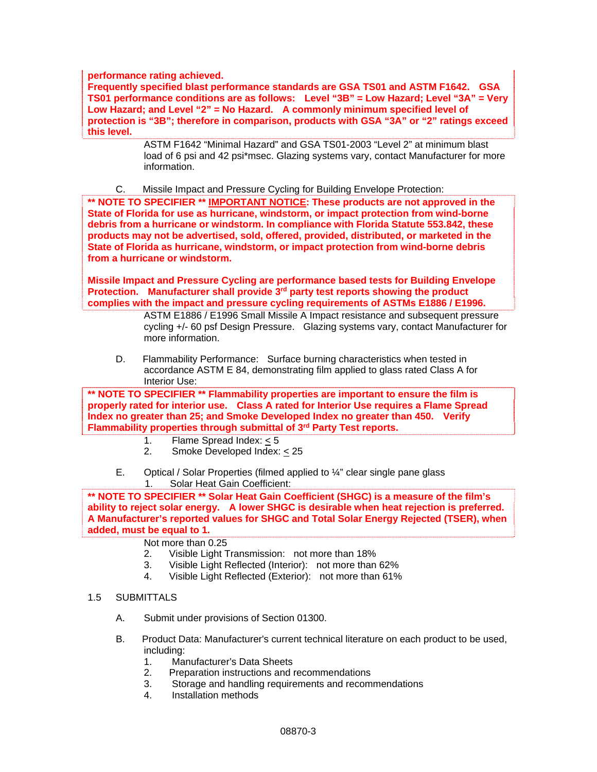**performance rating achieved.** 

**Frequently specified blast performance standards are GSA TS01 and ASTM F1642. GSA TS01 performance conditions are as follows: Level "3B" = Low Hazard; Level "3A" = Very Low Hazard; and Level "2" = No Hazard. A commonly minimum specified level of protection is "3B"; therefore in comparison, products with GSA "3A" or "2" ratings exceed this level.** 

> ASTM F1642 "Minimal Hazard" and GSA TS01-2003 "Level 2" at minimum blast load of 6 psi and 42 psi\*msec. Glazing systems vary, contact Manufacturer for more information.

C. Missile Impact and Pressure Cycling for Building Envelope Protection:

**\*\* NOTE TO SPECIFIER \*\* IMPORTANT NOTICE: These products are not approved in the State of Florida for use as hurricane, windstorm, or impact protection from wind-borne debris from a hurricane or windstorm. In compliance with Florida Statute 553.842, these products may not be advertised, sold, offered, provided, distributed, or marketed in the State of Florida as hurricane, windstorm, or impact protection from wind-borne debris from a hurricane or windstorm.** 

**Missile Impact and Pressure Cycling are performance based tests for Building Envelope Protection. Manufacturer shall provide 3rd party test reports showing the product complies with the impact and pressure cycling requirements of ASTMs E1886 / E1996.** 

> ASTM E1886 / E1996 Small Missile A Impact resistance and subsequent pressure cycling +/- 60 psf Design Pressure. Glazing systems vary, contact Manufacturer for more information.

D. Flammability Performance: Surface burning characteristics when tested in accordance ASTM E 84, demonstrating film applied to glass rated Class A for Interior Use:

**\*\* NOTE TO SPECIFIER \*\* Flammability properties are important to ensure the film is properly rated for interior use. Class A rated for Interior Use requires a Flame Spread Index no greater than 25; and Smoke Developed Index no greater than 450. Verify Flammability properties through submittal of 3rd Party Test reports.** 

- 1. Flame Spread Index: < 5
- 2. Smoke Developed Index: < 25
- E. Optical / Solar Properties (filmed applied to ¼" clear single pane glass 1. Solar Heat Gain Coefficient:

**\*\* NOTE TO SPECIFIER \*\* Solar Heat Gain Coefficient (SHGC) is a measure of the film's ability to reject solar energy. A lower SHGC is desirable when heat rejection is preferred. A Manufacturer's reported values for SHGC and Total Solar Energy Rejected (TSER), when added, must be equal to 1.** 

# Not more than 0.25

- 2. Visible Light Transmission: not more than 18%
- 3. Visible Light Reflected (Interior): not more than 62%
- 4. Visible Light Reflected (Exterior): not more than 61%

# 1.5 SUBMITTALS

- A. Submit under provisions of Section 01300.
- B. Product Data: Manufacturer's current technical literature on each product to be used, including:
	- 1. Manufacturer's Data Sheets
	- 2. Preparation instructions and recommendations
	- 3. Storage and handling requirements and recommendations
	- 4. Installation methods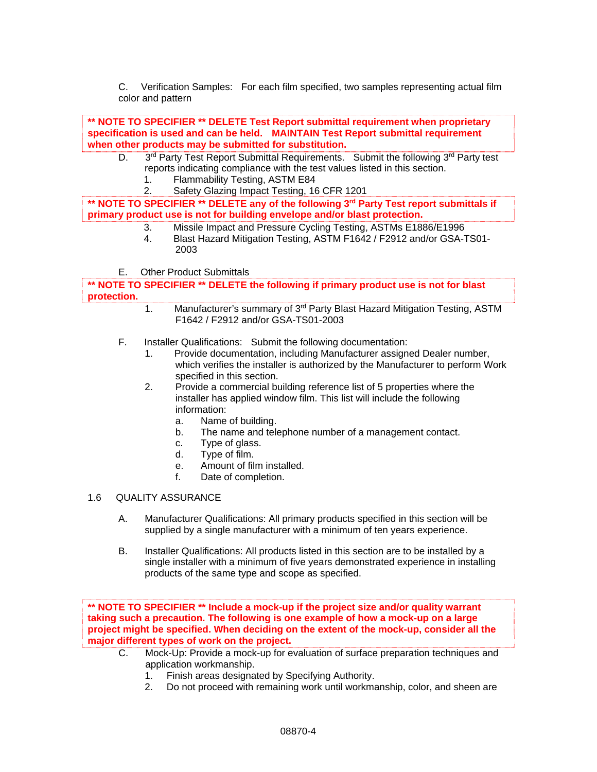C. Verification Samples: For each film specified, two samples representing actual film color and pattern

**\*\* NOTE TO SPECIFIER \*\* DELETE Test Report submittal requirement when proprietary specification is used and can be held. MAINTAIN Test Report submittal requirement when other products may be submitted for substitution.** 

- D. 3<sup>rd</sup> Party Test Report Submittal Requirements. Submit the following 3<sup>rd</sup> Party test reports indicating compliance with the test values listed in this section.
	- 1. Flammability Testing, ASTM E84
	- 2. Safety Glazing Impact Testing, 16 CFR 1201

**\*\* NOTE TO SPECIFIER \*\* DELETE any of the following 3rd Party Test report submittals if primary product use is not for building envelope and/or blast protection.** 

- 3. Missile Impact and Pressure Cycling Testing, ASTMs E1886/E1996
- 4. Blast Hazard Mitigation Testing, ASTM F1642 / F2912 and/or GSA-TS01- 2003
- E. Other Product Submittals

**\*\* NOTE TO SPECIFIER \*\* DELETE the following if primary product use is not for blast protection.** 

- 1. Manufacturer's summary of 3<sup>rd</sup> Party Blast Hazard Mitigation Testing, ASTM F1642 / F2912 and/or GSA-TS01-2003
- F. Installer Qualifications: Submit the following documentation:
	- 1. Provide documentation, including Manufacturer assigned Dealer number, which verifies the installer is authorized by the Manufacturer to perform Work specified in this section.
	- 2. Provide a commercial building reference list of 5 properties where the installer has applied window film. This list will include the following information:
		- a. Name of building.
		- b. The name and telephone number of a management contact.
		- c. Type of glass.
		- d. Type of film.
		- e. Amount of film installed.
		- f. Date of completion.

# 1.6 QUALITY ASSURANCE

- A. Manufacturer Qualifications: All primary products specified in this section will be supplied by a single manufacturer with a minimum of ten years experience.
- B. Installer Qualifications: All products listed in this section are to be installed by a single installer with a minimum of five years demonstrated experience in installing products of the same type and scope as specified.

**\*\* NOTE TO SPECIFIER \*\* Include a mock-up if the project size and/or quality warrant taking such a precaution. The following is one example of how a mock-up on a large project might be specified. When deciding on the extent of the mock-up, consider all the major different types of work on the project.** 

- C. Mock-Up: Provide a mock-up for evaluation of surface preparation techniques and application workmanship.
	- 1. Finish areas designated by Specifying Authority.
	- 2. Do not proceed with remaining work until workmanship, color, and sheen are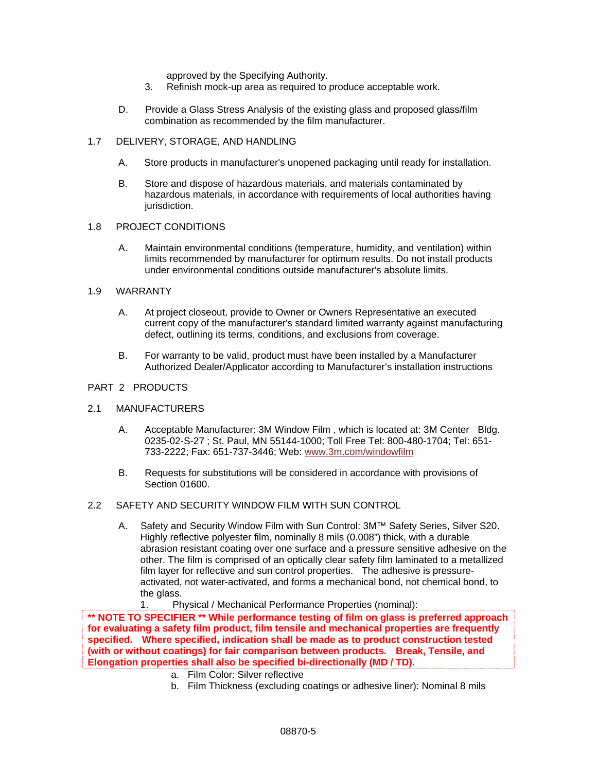approved by the Specifying Authority.

- 3. Refinish mock-up area as required to produce acceptable work.
- D. Provide a Glass Stress Analysis of the existing glass and proposed glass/film combination as recommended by the film manufacturer.

#### 1.7 DELIVERY, STORAGE, AND HANDLING

- A. Store products in manufacturer's unopened packaging until ready for installation.
- B. Store and dispose of hazardous materials, and materials contaminated by hazardous materials, in accordance with requirements of local authorities having jurisdiction.

## 1.8 PROJECT CONDITIONS

A. Maintain environmental conditions (temperature, humidity, and ventilation) within limits recommended by manufacturer for optimum results. Do not install products under environmental conditions outside manufacturer's absolute limits.

#### 1.9 WARRANTY

- A. At project closeout, provide to Owner or Owners Representative an executed current copy of the manufacturer's standard limited warranty against manufacturing defect, outlining its terms, conditions, and exclusions from coverage.
- B. For warranty to be valid, product must have been installed by a Manufacturer Authorized Dealer/Applicator according to Manufacturer's installation instructions

## PART 2 PRODUCTS

## 2.1 MANUFACTURERS

- A. Acceptable Manufacturer: 3M Window Film , which is located at: 3M Center Bldg. 0235-02-S-27 ; St. Paul, MN 55144-1000; Toll Free Tel: 800-480-1704; Tel: 651- 733-2222; Fax: 651-737-3446; Web: www.3m.com/windowfilm
- B. Requests for substitutions will be considered in accordance with provisions of Section 01600.

## 2.2 SAFETY AND SECURITY WINDOW FILM WITH SUN CONTROL

A. Safety and Security Window Film with Sun Control: 3M™ Safety Series, Silver S20. Highly reflective polyester film, nominally 8 mils (0.008") thick, with a durable abrasion resistant coating over one surface and a pressure sensitive adhesive on the other. The film is comprised of an optically clear safety film laminated to a metallized film layer for reflective and sun control properties. The adhesive is pressureactivated, not water-activated, and forms a mechanical bond, not chemical bond, to the glass.

#### 1. Physical / Mechanical Performance Properties (nominal):

**\*\* NOTE TO SPECIFIER \*\* While performance testing of film on glass is preferred approach for evaluating a safety film product, film tensile and mechanical properties are frequently specified. Where specified, indication shall be made as to product construction tested (with or without coatings) for fair comparison between products. Break, Tensile, and Elongation properties shall also be specified bi-directionally (MD / TD).** 

- a. Film Color: Silver reflective
- b. Film Thickness (excluding coatings or adhesive liner): Nominal 8 mils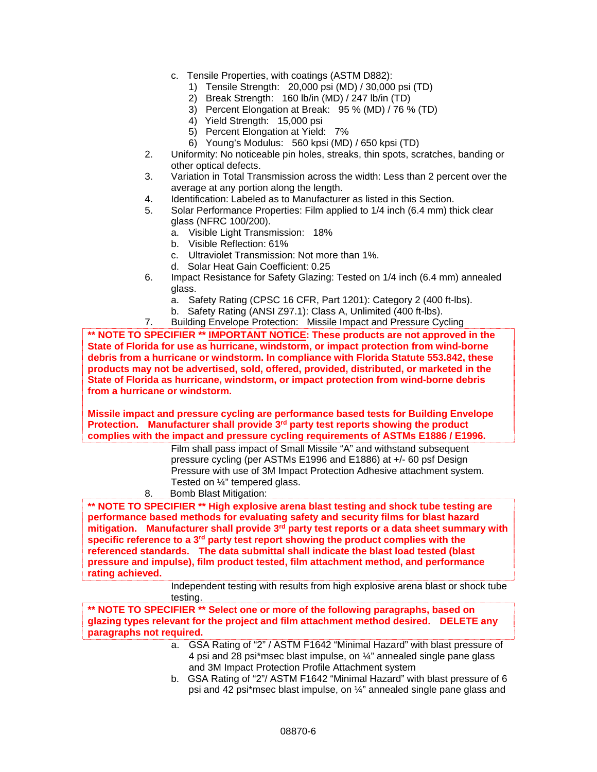- c. Tensile Properties, with coatings (ASTM D882):
	- 1) Tensile Strength: 20,000 psi (MD) / 30,000 psi (TD)
	- 2) Break Strength: 160 lb/in (MD) / 247 lb/in (TD)
	- 3) Percent Elongation at Break: 95 % (MD) / 76 % (TD)
	- 4) Yield Strength: 15,000 psi
	- 5) Percent Elongation at Yield: 7%
	- 6) Young's Modulus: 560 kpsi (MD) / 650 kpsi (TD)
- 2. Uniformity: No noticeable pin holes, streaks, thin spots, scratches, banding or other optical defects.
- 3. Variation in Total Transmission across the width: Less than 2 percent over the average at any portion along the length.
- 4. Identification: Labeled as to Manufacturer as listed in this Section.
- 5. Solar Performance Properties: Film applied to 1/4 inch (6.4 mm) thick clear glass (NFRC 100/200).
	- a. Visible Light Transmission: 18%
	- b. Visible Reflection: 61%
	- c. Ultraviolet Transmission: Not more than 1%.
	- d. Solar Heat Gain Coefficient: 0.25
- 6. Impact Resistance for Safety Glazing: Tested on 1/4 inch (6.4 mm) annealed glass.
	- a. Safety Rating (CPSC 16 CFR, Part 1201): Category 2 (400 ft-lbs).
	- b. Safety Rating (ANSI Z97.1): Class A, Unlimited (400 ft-lbs).
- 7. Building Envelope Protection: Missile Impact and Pressure Cycling

**\*\* NOTE TO SPECIFIER \*\* IMPORTANT NOTICE: These products are not approved in the State of Florida for use as hurricane, windstorm, or impact protection from wind-borne debris from a hurricane or windstorm. In compliance with Florida Statute 553.842, these products may not be advertised, sold, offered, provided, distributed, or marketed in the State of Florida as hurricane, windstorm, or impact protection from wind-borne debris from a hurricane or windstorm.** 

**Missile impact and pressure cycling are performance based tests for Building Envelope Protection. Manufacturer shall provide 3rd party test reports showing the product complies with the impact and pressure cycling requirements of ASTMs E1886 / E1996.** 

Film shall pass impact of Small Missile "A" and withstand subsequent pressure cycling (per ASTMs E1996 and E1886) at +/- 60 psf Design Pressure with use of 3M Impact Protection Adhesive attachment system. Tested on ¼" tempered glass.

8. Bomb Blast Mitigation:

**\*\* NOTE TO SPECIFIER \*\* High explosive arena blast testing and shock tube testing are performance based methods for evaluating safety and security films for blast hazard**  mitigation. Manufacturer shall provide 3<sup>rd</sup> party test reports or a data sheet summary with **specific reference to a 3rd party test report showing the product complies with the referenced standards. The data submittal shall indicate the blast load tested (blast pressure and impulse), film product tested, film attachment method, and performance rating achieved.** 

> Independent testing with results from high explosive arena blast or shock tube testing.

**\*\* NOTE TO SPECIFIER \*\* Select one or more of the following paragraphs, based on glazing types relevant for the project and film attachment method desired. DELETE any paragraphs not required.** 

- a. GSA Rating of "2" / ASTM F1642 "Minimal Hazard" with blast pressure of 4 psi and 28 psi\*msec blast impulse, on ¼" annealed single pane glass and 3M Impact Protection Profile Attachment system
- b. GSA Rating of "2"/ ASTM F1642 "Minimal Hazard" with blast pressure of 6 psi and 42 psi\*msec blast impulse, on ¼" annealed single pane glass and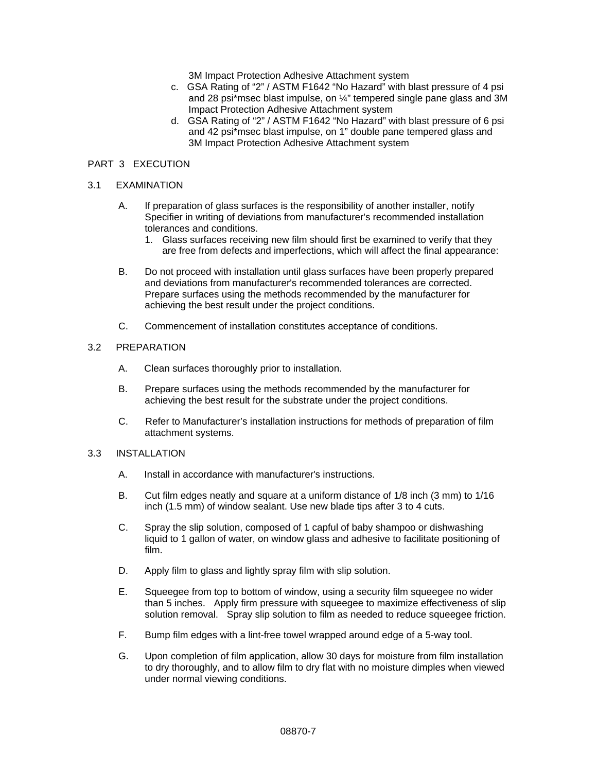3M Impact Protection Adhesive Attachment system

- c. GSA Rating of "2" / ASTM F1642 "No Hazard" with blast pressure of 4 psi and 28 psi\*msec blast impulse, on ¼" tempered single pane glass and 3M Impact Protection Adhesive Attachment system
- d. GSA Rating of "2" / ASTM F1642 "No Hazard" with blast pressure of 6 psi and 42 psi\*msec blast impulse, on 1" double pane tempered glass and 3M Impact Protection Adhesive Attachment system

## PART 3 EXECUTION

## 3.1 EXAMINATION

- A. If preparation of glass surfaces is the responsibility of another installer, notify Specifier in writing of deviations from manufacturer's recommended installation tolerances and conditions.
	- 1. Glass surfaces receiving new film should first be examined to verify that they are free from defects and imperfections, which will affect the final appearance:
- B. Do not proceed with installation until glass surfaces have been properly prepared and deviations from manufacturer's recommended tolerances are corrected. Prepare surfaces using the methods recommended by the manufacturer for achieving the best result under the project conditions.
- C. Commencement of installation constitutes acceptance of conditions.

## 3.2 PREPARATION

- A. Clean surfaces thoroughly prior to installation.
- B. Prepare surfaces using the methods recommended by the manufacturer for achieving the best result for the substrate under the project conditions.
- C. Refer to Manufacturer's installation instructions for methods of preparation of film attachment systems.

### 3.3 INSTALLATION

- A. Install in accordance with manufacturer's instructions.
- B. Cut film edges neatly and square at a uniform distance of 1/8 inch (3 mm) to 1/16 inch (1.5 mm) of window sealant. Use new blade tips after 3 to 4 cuts.
- C. Spray the slip solution, composed of 1 capful of baby shampoo or dishwashing liquid to 1 gallon of water, on window glass and adhesive to facilitate positioning of film.
- D. Apply film to glass and lightly spray film with slip solution.
- E. Squeegee from top to bottom of window, using a security film squeegee no wider than 5 inches. Apply firm pressure with squeegee to maximize effectiveness of slip solution removal. Spray slip solution to film as needed to reduce squeegee friction.
- F. Bump film edges with a lint-free towel wrapped around edge of a 5-way tool.
- G. Upon completion of film application, allow 30 days for moisture from film installation to dry thoroughly, and to allow film to dry flat with no moisture dimples when viewed under normal viewing conditions.